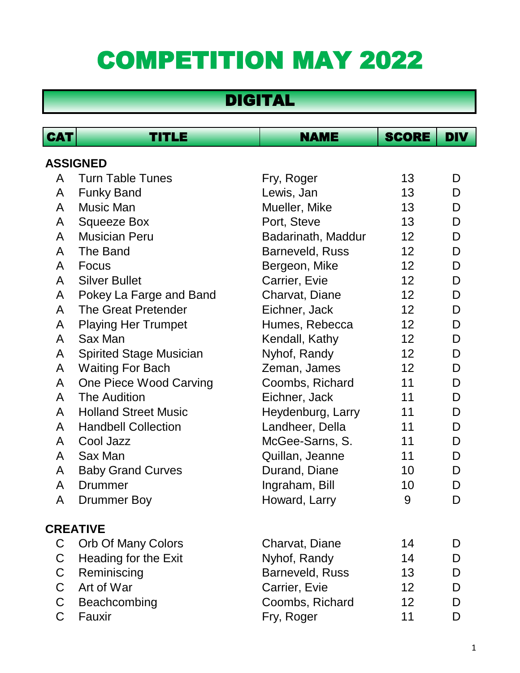## COMPETITION MAY 2022

## DIGITAL

| <b>CAT</b>      | TITLE                          | <b>NAME</b>        | <b>SCORE</b>    | <b>DIV</b> |  |
|-----------------|--------------------------------|--------------------|-----------------|------------|--|
| <b>ASSIGNED</b> |                                |                    |                 |            |  |
| A               | <b>Turn Table Tunes</b>        | Fry, Roger         | 13              | D          |  |
| A               | <b>Funky Band</b>              | Lewis, Jan         | 13              | D          |  |
| A               | Music Man                      | Mueller, Mike      | 13              | D          |  |
| A               | <b>Squeeze Box</b>             | Port, Steve        | 13              | D          |  |
| A               | <b>Musician Peru</b>           | Badarinath, Maddur | 12              | D          |  |
| A               | The Band                       | Barneveld, Russ    | 12              | D          |  |
| A               | Focus                          | Bergeon, Mike      | 12 <sub>2</sub> | D          |  |
| A               | <b>Silver Bullet</b>           | Carrier, Evie      | 12              | D          |  |
| A               | Pokey La Farge and Band        | Charvat, Diane     | 12 <sub>2</sub> | D          |  |
| $\mathsf{A}$    | <b>The Great Pretender</b>     | Eichner, Jack      | 12              | D          |  |
| A               | <b>Playing Her Trumpet</b>     | Humes, Rebecca     | 12 <sub>2</sub> | D          |  |
| A               | Sax Man                        | Kendall, Kathy     | 12 <sub>2</sub> | D          |  |
| A               | <b>Spirited Stage Musician</b> | Nyhof, Randy       | 12              | D          |  |
| A               | <b>Waiting For Bach</b>        | Zeman, James       | 12 <sub>2</sub> | D          |  |
| A               | One Piece Wood Carving         | Coombs, Richard    | 11              | D          |  |
| A               | <b>The Audition</b>            | Eichner, Jack      | 11              | D          |  |
| A               | <b>Holland Street Music</b>    | Heydenburg, Larry  | 11              | D          |  |
| A               | <b>Handbell Collection</b>     | Landheer, Della    | 11              | D          |  |
| A               | Cool Jazz                      | McGee-Sarns, S.    | 11              | D          |  |
| A               | Sax Man                        | Quillan, Jeanne    | 11              | D          |  |
| A               | <b>Baby Grand Curves</b>       | Durand, Diane      | 10              | D          |  |
| A               | Drummer                        | Ingraham, Bill     | 10              | D          |  |
| Α               | <b>Drummer Boy</b>             | Howard, Larry      | 9               | D          |  |
| <b>CREATIVE</b> |                                |                    |                 |            |  |
| C               | <b>Orb Of Many Colors</b>      | Charvat, Diane     | 14              | D          |  |
| C               | Heading for the Exit           | Nyhof, Randy       | 14              | D          |  |
| C.              | Reminiscing                    | Barneveld, Russ    | 13              | D          |  |
| C.              | Art of War                     | Carrier, Evie      | 12 <sup>2</sup> | D          |  |
| C.              | Beachcombing                   | Coombs, Richard    | 12 <sub>2</sub> | D          |  |
| C               | Fauxir                         | Fry, Roger         | 11              | D          |  |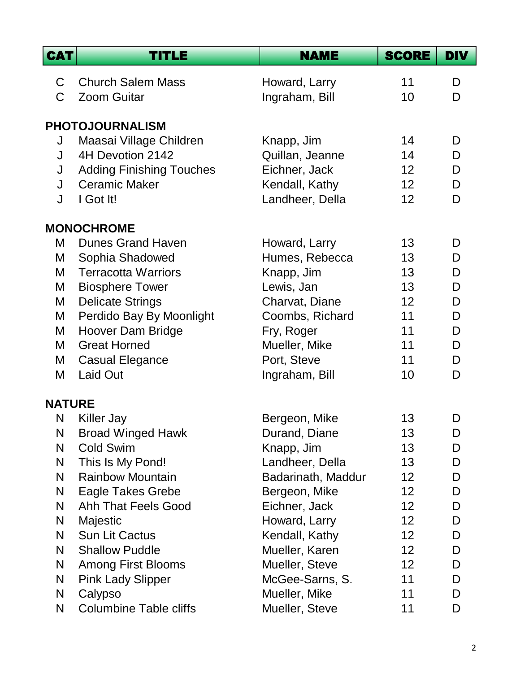| <b>Church Salem Mass</b><br>11<br>Howard, Larry<br>D<br>C<br><b>Zoom Guitar</b><br>C<br>Ingraham, Bill<br>10<br>D<br><b>PHOTOJOURNALISM</b><br>14<br>Maasai Village Children<br>Knapp, Jim<br>J<br>D<br>4H Devotion 2142<br>J<br>Quillan, Jeanne<br>14<br>D<br>Eichner, Jack<br><b>Adding Finishing Touches</b><br>12<br>D<br>J<br><b>Ceramic Maker</b><br>Kendall, Kathy<br>12 <sup>2</sup><br>J<br>D<br>I Got It!<br>Landheer, Della<br>12<br>D<br>J<br><b>MONOCHROME</b><br><b>Dunes Grand Haven</b><br>13<br>M<br>Howard, Larry<br>D<br>Humes, Rebecca<br>13<br>Sophia Shadowed<br>D<br>M<br><b>Terracotta Warriors</b><br>Knapp, Jim<br>13<br>M<br>D<br>Lewis, Jan<br>13<br>M<br><b>Biosphere Tower</b><br>D<br>12<br><b>Delicate Strings</b><br>Charvat, Diane<br>D<br>M<br>Perdido Bay By Moonlight<br>Coombs, Richard<br>11<br>D<br>M<br><b>Hoover Dam Bridge</b><br>Fry, Roger<br>11<br>D<br>M<br><b>Great Horned</b><br>Mueller, Mike<br>11<br>D<br>M<br>Port, Steve<br><b>Casual Elegance</b><br>11<br>D<br>M<br>Laid Out<br>D<br>M<br>Ingraham, Bill<br>10<br><b>NATURE</b><br>13<br>N<br><b>Killer Jay</b><br>Bergeon, Mike<br>D<br><b>Broad Winged Hawk</b><br>N<br>Durand, Diane<br>13<br>D<br><b>Cold Swim</b><br>N<br>Knapp, Jim<br>13<br>D |
|--------------------------------------------------------------------------------------------------------------------------------------------------------------------------------------------------------------------------------------------------------------------------------------------------------------------------------------------------------------------------------------------------------------------------------------------------------------------------------------------------------------------------------------------------------------------------------------------------------------------------------------------------------------------------------------------------------------------------------------------------------------------------------------------------------------------------------------------------------------------------------------------------------------------------------------------------------------------------------------------------------------------------------------------------------------------------------------------------------------------------------------------------------------------------------------------------------------------------------------------------------------|
|                                                                                                                                                                                                                                                                                                                                                                                                                                                                                                                                                                                                                                                                                                                                                                                                                                                                                                                                                                                                                                                                                                                                                                                                                                                              |
|                                                                                                                                                                                                                                                                                                                                                                                                                                                                                                                                                                                                                                                                                                                                                                                                                                                                                                                                                                                                                                                                                                                                                                                                                                                              |
|                                                                                                                                                                                                                                                                                                                                                                                                                                                                                                                                                                                                                                                                                                                                                                                                                                                                                                                                                                                                                                                                                                                                                                                                                                                              |
|                                                                                                                                                                                                                                                                                                                                                                                                                                                                                                                                                                                                                                                                                                                                                                                                                                                                                                                                                                                                                                                                                                                                                                                                                                                              |
|                                                                                                                                                                                                                                                                                                                                                                                                                                                                                                                                                                                                                                                                                                                                                                                                                                                                                                                                                                                                                                                                                                                                                                                                                                                              |
|                                                                                                                                                                                                                                                                                                                                                                                                                                                                                                                                                                                                                                                                                                                                                                                                                                                                                                                                                                                                                                                                                                                                                                                                                                                              |
|                                                                                                                                                                                                                                                                                                                                                                                                                                                                                                                                                                                                                                                                                                                                                                                                                                                                                                                                                                                                                                                                                                                                                                                                                                                              |
|                                                                                                                                                                                                                                                                                                                                                                                                                                                                                                                                                                                                                                                                                                                                                                                                                                                                                                                                                                                                                                                                                                                                                                                                                                                              |
|                                                                                                                                                                                                                                                                                                                                                                                                                                                                                                                                                                                                                                                                                                                                                                                                                                                                                                                                                                                                                                                                                                                                                                                                                                                              |
|                                                                                                                                                                                                                                                                                                                                                                                                                                                                                                                                                                                                                                                                                                                                                                                                                                                                                                                                                                                                                                                                                                                                                                                                                                                              |
|                                                                                                                                                                                                                                                                                                                                                                                                                                                                                                                                                                                                                                                                                                                                                                                                                                                                                                                                                                                                                                                                                                                                                                                                                                                              |
|                                                                                                                                                                                                                                                                                                                                                                                                                                                                                                                                                                                                                                                                                                                                                                                                                                                                                                                                                                                                                                                                                                                                                                                                                                                              |
|                                                                                                                                                                                                                                                                                                                                                                                                                                                                                                                                                                                                                                                                                                                                                                                                                                                                                                                                                                                                                                                                                                                                                                                                                                                              |
|                                                                                                                                                                                                                                                                                                                                                                                                                                                                                                                                                                                                                                                                                                                                                                                                                                                                                                                                                                                                                                                                                                                                                                                                                                                              |
|                                                                                                                                                                                                                                                                                                                                                                                                                                                                                                                                                                                                                                                                                                                                                                                                                                                                                                                                                                                                                                                                                                                                                                                                                                                              |
|                                                                                                                                                                                                                                                                                                                                                                                                                                                                                                                                                                                                                                                                                                                                                                                                                                                                                                                                                                                                                                                                                                                                                                                                                                                              |
|                                                                                                                                                                                                                                                                                                                                                                                                                                                                                                                                                                                                                                                                                                                                                                                                                                                                                                                                                                                                                                                                                                                                                                                                                                                              |
|                                                                                                                                                                                                                                                                                                                                                                                                                                                                                                                                                                                                                                                                                                                                                                                                                                                                                                                                                                                                                                                                                                                                                                                                                                                              |
|                                                                                                                                                                                                                                                                                                                                                                                                                                                                                                                                                                                                                                                                                                                                                                                                                                                                                                                                                                                                                                                                                                                                                                                                                                                              |
|                                                                                                                                                                                                                                                                                                                                                                                                                                                                                                                                                                                                                                                                                                                                                                                                                                                                                                                                                                                                                                                                                                                                                                                                                                                              |
|                                                                                                                                                                                                                                                                                                                                                                                                                                                                                                                                                                                                                                                                                                                                                                                                                                                                                                                                                                                                                                                                                                                                                                                                                                                              |
|                                                                                                                                                                                                                                                                                                                                                                                                                                                                                                                                                                                                                                                                                                                                                                                                                                                                                                                                                                                                                                                                                                                                                                                                                                                              |
| This Is My Pond!<br>Landheer, Della<br>N<br>13<br>D                                                                                                                                                                                                                                                                                                                                                                                                                                                                                                                                                                                                                                                                                                                                                                                                                                                                                                                                                                                                                                                                                                                                                                                                          |
| Badarinath, Maddur<br>N<br><b>Rainbow Mountain</b><br>12<br>D                                                                                                                                                                                                                                                                                                                                                                                                                                                                                                                                                                                                                                                                                                                                                                                                                                                                                                                                                                                                                                                                                                                                                                                                |
| Eagle Takes Grebe<br>Bergeon, Mike<br>N<br>12<br>D                                                                                                                                                                                                                                                                                                                                                                                                                                                                                                                                                                                                                                                                                                                                                                                                                                                                                                                                                                                                                                                                                                                                                                                                           |
| N<br>Ahh That Feels Good<br>Eichner, Jack<br>12 <sub>2</sub><br>D                                                                                                                                                                                                                                                                                                                                                                                                                                                                                                                                                                                                                                                                                                                                                                                                                                                                                                                                                                                                                                                                                                                                                                                            |
| N<br>Majestic<br>Howard, Larry<br>12<br>D                                                                                                                                                                                                                                                                                                                                                                                                                                                                                                                                                                                                                                                                                                                                                                                                                                                                                                                                                                                                                                                                                                                                                                                                                    |
| Sun Lit Cactus<br>Kendall, Kathy<br>12<br>N<br>D<br>Mueller, Karen<br>N<br><b>Shallow Puddle</b><br>$12 \overline{ }$<br>D                                                                                                                                                                                                                                                                                                                                                                                                                                                                                                                                                                                                                                                                                                                                                                                                                                                                                                                                                                                                                                                                                                                                   |
| N<br><b>Among First Blooms</b><br>Mueller, Steve<br>12<br>D                                                                                                                                                                                                                                                                                                                                                                                                                                                                                                                                                                                                                                                                                                                                                                                                                                                                                                                                                                                                                                                                                                                                                                                                  |
| N<br><b>Pink Lady Slipper</b><br>McGee-Sarns, S.<br>11<br>D                                                                                                                                                                                                                                                                                                                                                                                                                                                                                                                                                                                                                                                                                                                                                                                                                                                                                                                                                                                                                                                                                                                                                                                                  |
| Calypso<br>Mueller, Mike<br>N<br>11<br>D                                                                                                                                                                                                                                                                                                                                                                                                                                                                                                                                                                                                                                                                                                                                                                                                                                                                                                                                                                                                                                                                                                                                                                                                                     |
| <b>Columbine Table cliffs</b><br>Mueller, Steve<br>11<br>N<br>D                                                                                                                                                                                                                                                                                                                                                                                                                                                                                                                                                                                                                                                                                                                                                                                                                                                                                                                                                                                                                                                                                                                                                                                              |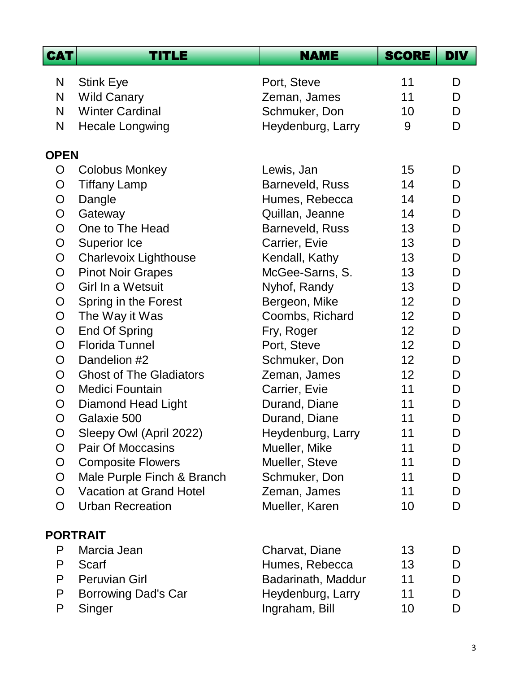| <b>CAT</b>     | <b>TITLE</b>                   | <b>NAME</b>        | <b>SCORE</b> | <b>DIV</b> |
|----------------|--------------------------------|--------------------|--------------|------------|
| N              | <b>Stink Eye</b>               | Port, Steve        | 11           | D          |
| $\mathsf{N}$   | <b>Wild Canary</b>             | Zeman, James       | 11           | D          |
| N              | <b>Winter Cardinal</b>         | Schmuker, Don      | 10           | D          |
| N              | <b>Hecale Longwing</b>         | Heydenburg, Larry  | 9            | D          |
| <b>OPEN</b>    |                                |                    |              |            |
| $\overline{O}$ | Colobus Monkey                 | Lewis, Jan         | 15           | D          |
| $\mathsf{O}$   | <b>Tiffany Lamp</b>            | Barneveld, Russ    | 14           | D          |
| O              | Dangle                         | Humes, Rebecca     | 14           | D          |
| $\mathsf{O}$   | Gateway                        | Quillan, Jeanne    | 14           | D          |
| O              | One to The Head                | Barneveld, Russ    | 13           | D          |
| $\mathsf{O}$   | <b>Superior Ice</b>            | Carrier, Evie      | 13           | D          |
| $\overline{O}$ | <b>Charlevoix Lighthouse</b>   | Kendall, Kathy     | 13           | D          |
| $\overline{O}$ | <b>Pinot Noir Grapes</b>       | McGee-Sarns, S.    | 13           | D          |
| $\overline{O}$ | Girl In a Wetsuit              | Nyhof, Randy       | 13           | D          |
| $\mathsf{O}$   | Spring in the Forest           | Bergeon, Mike      | 12           | D          |
| $\mathsf{O}$   | The Way it Was                 | Coombs, Richard    | 12           | D          |
| O              | <b>End Of Spring</b>           | Fry, Roger         | 12           | D          |
| $\overline{O}$ | <b>Florida Tunnel</b>          | Port, Steve        | 12           | D          |
| $\mathsf{O}$   | Dandelion #2                   | Schmuker, Don      | 12           | D          |
| $\overline{O}$ | <b>Ghost of The Gladiators</b> | Zeman, James       | 12           | D          |
| O              | <b>Medici Fountain</b>         | Carrier, Evie      | 11           | D          |
| $\mathsf{O}$   | <b>Diamond Head Light</b>      | Durand, Diane      | 11           | D          |
| $\mathsf{O}$   | Galaxie 500                    | Durand, Diane      | 11           | D          |
| O              | Sleepy Owl (April 2022)        | Heydenburg, Larry  | 11           | D          |
| O              | <b>Pair Of Moccasins</b>       | Mueller, Mike      | 11           | D          |
| O              | <b>Composite Flowers</b>       | Mueller, Steve     | 11           | D          |
| O              | Male Purple Finch & Branch     | Schmuker, Don      | 11           | D          |
| $\overline{O}$ | <b>Vacation at Grand Hotel</b> | Zeman, James       | 11           | D          |
| O              | <b>Urban Recreation</b>        | Mueller, Karen     | 10           | D          |
|                | <b>PORTRAIT</b>                |                    |              |            |
| P              | Marcia Jean                    | Charvat, Diane     | 13           | D          |
| P              | Scarf                          | Humes, Rebecca     | 13           | D          |
| P              | <b>Peruvian Girl</b>           | Badarinath, Maddur | 11           | D          |
| P              | <b>Borrowing Dad's Car</b>     | Heydenburg, Larry  | 11           | D          |
| P              | Singer                         | Ingraham, Bill     | 10           | D          |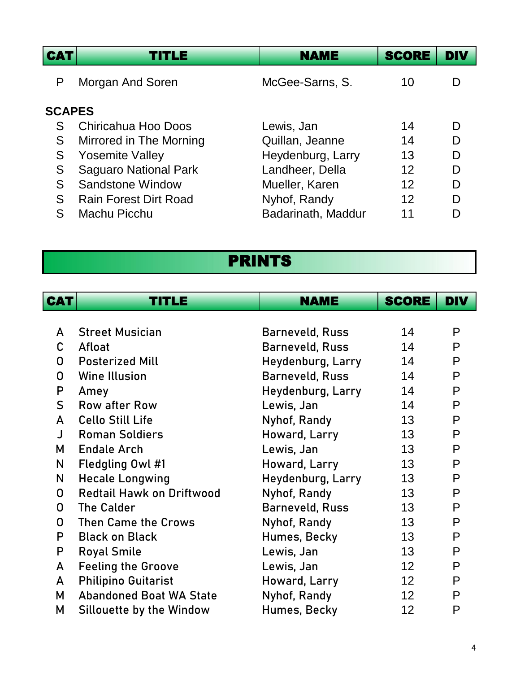| <b>CAT</b>    | TITLE                        | <b>NAME</b>        | <b>SCORE</b> | <b>DIV</b> |
|---------------|------------------------------|--------------------|--------------|------------|
| P             | Morgan And Soren             | McGee-Sarns, S.    | 10           |            |
| <b>SCAPES</b> |                              |                    |              |            |
| S             | Chiricahua Hoo Doos          | Lewis, Jan         | 14           |            |
| S             | Mirrored in The Morning      | Quillan, Jeanne    | 14           | D          |
| S             | <b>Yosemite Valley</b>       | Heydenburg, Larry  | 13           | D          |
| S             | <b>Saguaro National Park</b> | Landheer, Della    | 12           | D          |
| S             | Sandstone Window             | Mueller, Karen     | 12           | D          |
| S             | <b>Rain Forest Dirt Road</b> | Nyhof, Randy       | 12           | D          |
| S             | Machu Picchu                 | Badarinath, Maddur | 11           |            |

## PRINTS

 $\overline{\phantom{a}}$ 

| <b>CAT</b> | TITLE                            | <b>NAME</b>            | <b>SCORE</b>    | <b>DIV</b> |
|------------|----------------------------------|------------------------|-----------------|------------|
|            |                                  |                        |                 |            |
| A          | <b>Street Musician</b>           | <b>Barneveld, Russ</b> | 14              | P          |
| C          | Afloat                           | Barneveld, Russ        | 14              | P          |
| 0          | <b>Posterized Mill</b>           | Heydenburg, Larry      | 14              | P          |
| 0          | <b>Wine Illusion</b>             | Barneveld, Russ        | 14              | P          |
| P          | Amey                             | Heydenburg, Larry      | 14              | P          |
| S          | <b>Row after Row</b>             | Lewis, Jan             | 14              | P          |
| A          | <b>Cello Still Life</b>          | Nyhof, Randy           | 13              | P          |
| J          | <b>Roman Soldiers</b>            | Howard, Larry          | 13              | P          |
| М          | <b>Endale Arch</b>               | Lewis, Jan             | 13              | P          |
| N          | Fledgling Owl #1                 | Howard, Larry          | 13              | P          |
| N          | <b>Hecale Longwing</b>           | Heydenburg, Larry      | 13              | P          |
| 0          | <b>Redtail Hawk on Driftwood</b> | Nyhof, Randy           | 13              | P          |
| 0          | The Calder                       | Barneveld, Russ        | 13              | P          |
| 0          | Then Came the Crows              | Nyhof, Randy           | 13 <sup>2</sup> | P          |
| P          | <b>Black on Black</b>            | Humes, Becky           | 13              | P          |
| P          | <b>Royal Smile</b>               | Lewis, Jan             | 13              | P          |
| A          | <b>Feeling the Groove</b>        | Lewis, Jan             | 12              | P          |
| A          | <b>Philipino Guitarist</b>       | Howard, Larry          | 12 <sup>2</sup> | P          |
| М          | <b>Abandoned Boat WA State</b>   | Nyhof, Randy           | 12 <sup>°</sup> | P          |
| Μ          | Sillouette by the Window         | Humes, Becky           | 12              | P          |